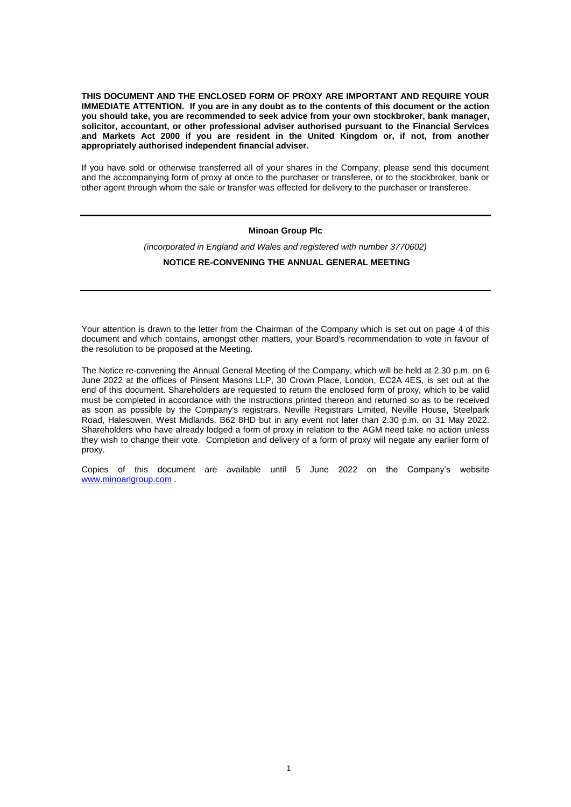**THIS DOCUMENT AND THE ENCLOSED FORM OF PROXY ARE IMPORTANT AND REQUIRE YOUR IMMEDIATE ATTENTION. If you are in any doubt as to the contents of this document or the action you should take, you are recommended to seek advice from your own stockbroker, bank manager, solicitor, accountant, or other professional adviser authorised pursuant to the Financial Services and Markets Act 2000 if you are resident in the United Kingdom or, if not, from another appropriately authorised independent financial adviser.** 

If you have sold or otherwise transferred all of your shares in the Company, please send this document and the accompanying form of proxy at once to the purchaser or transferee, or to the stockbroker, bank or other agent through whom the sale or transfer was effected for delivery to the purchaser or transferee.

### **Minoan Group Plc**

*(incorporated in England and Wales and registered with number 3770602)*

## **NOTICE RE-CONVENING THE ANNUAL GENERAL MEETING**

Your attention is drawn to the letter from the Chairman of the Company which is set out on page 4 of this document and which contains, amongst other matters, your Board's recommendation to vote in favour of the resolution to be proposed at the Meeting.

The Notice re-convening the Annual General Meeting of the Company, which will be held at 2.30 p.m. on 6 June 2022 at the offices of Pinsent Masons LLP, 30 Crown Place, London, EC2A 4ES, is set out at the end of this document. Shareholders are requested to return the enclosed form of proxy, which to be valid must be completed in accordance with the instructions printed thereon and returned so as to be received as soon as possible by the Company's registrars, Neville Registrars Limited, Neville House, Steelpark Road, Halesowen, West Midlands, B62 8HD but in any event not later than 2.30 p.m. on 31 May 2022. Shareholders who have already lodged a form of proxy in relation to the AGM need take no action unless they wish to change their vote. Completion and delivery of a form of proxy will negate any earlier form of proxy.

Copies of this document are available until 5 June 2022 on the Company's website [www.minoangroup.com](http://www.minoangroup.com/) .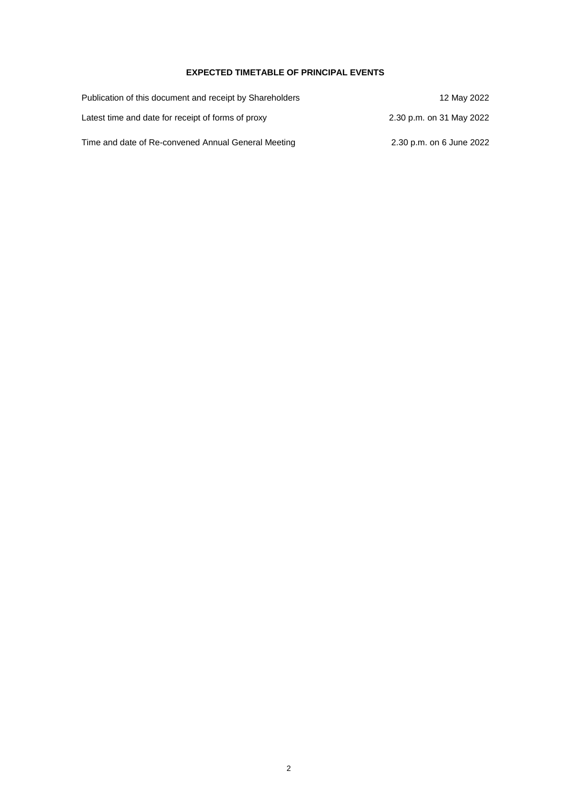# **EXPECTED TIMETABLE OF PRINCIPAL EVENTS**

| Publication of this document and receipt by Shareholders | 12 May 2022              |
|----------------------------------------------------------|--------------------------|
| Latest time and date for receipt of forms of proxy       | 2.30 p.m. on 31 May 2022 |
| Time and date of Re-convened Annual General Meeting      | 2.30 p.m. on 6 June 2022 |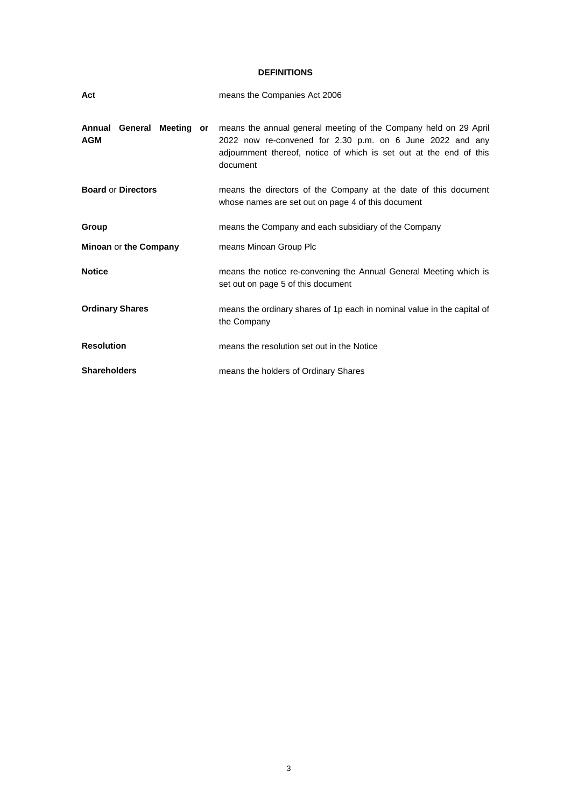# **DEFINITIONS**

| Act                                     | means the Companies Act 2006                                                                                                                                                                                    |
|-----------------------------------------|-----------------------------------------------------------------------------------------------------------------------------------------------------------------------------------------------------------------|
| Annual General Meeting or<br><b>AGM</b> | means the annual general meeting of the Company held on 29 April<br>2022 now re-convened for 2.30 p.m. on 6 June 2022 and any<br>adjournment thereof, notice of which is set out at the end of this<br>document |
| <b>Board or Directors</b>               | means the directors of the Company at the date of this document<br>whose names are set out on page 4 of this document                                                                                           |
| Group                                   | means the Company and each subsidiary of the Company                                                                                                                                                            |
| Minoan or the Company                   | means Minoan Group Plc                                                                                                                                                                                          |
| <b>Notice</b>                           | means the notice re-convening the Annual General Meeting which is<br>set out on page 5 of this document                                                                                                         |
| <b>Ordinary Shares</b>                  | means the ordinary shares of 1p each in nominal value in the capital of<br>the Company                                                                                                                          |
| <b>Resolution</b>                       | means the resolution set out in the Notice                                                                                                                                                                      |
| <b>Shareholders</b>                     | means the holders of Ordinary Shares                                                                                                                                                                            |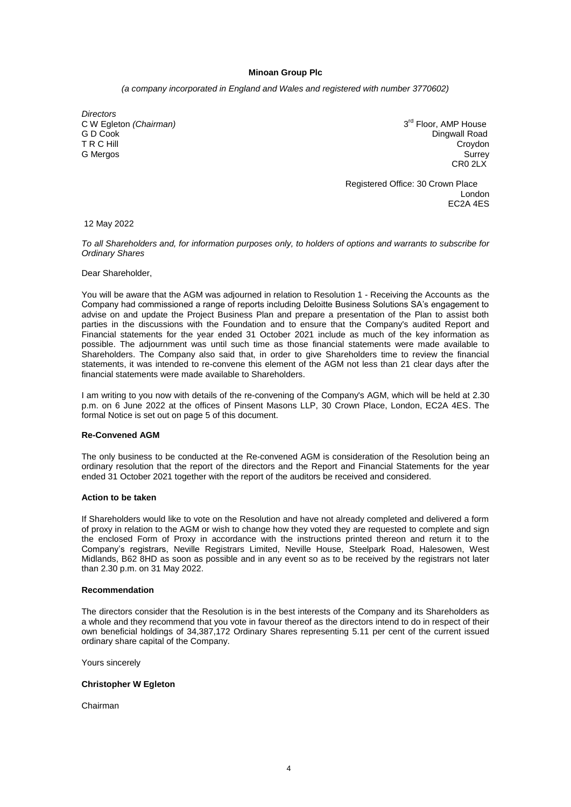## **Minoan Group Plc**

*(a company incorporated in England and Wales and registered with number 3770602)*

*Directors*  C W Egleton *(Chairman)*<br>G D Cook G D Cook Dingwall Road T R C Hill Croydon and the contract of the contract of the contract of the contract of the contract of the contract of the contract of the contract of the contract of the contract of the contract of the contract of the con G Mergos Surrey

3<sup>rd</sup> Floor, AMP House CR0 2LX

 Registered Office: 30 Crown Place London EC2A 4ES

12 May 2022

*To all Shareholders and, for information purposes only, to holders of options and warrants to subscribe for Ordinary Shares* 

Dear Shareholder,

You will be aware that the AGM was adjourned in relation to Resolution 1 - Receiving the Accounts as the Company had commissioned a range of reports including Deloitte Business Solutions SA's engagement to advise on and update the Project Business Plan and prepare a presentation of the Plan to assist both parties in the discussions with the Foundation and to ensure that the Company's audited Report and Financial statements for the year ended 31 October 2021 include as much of the key information as possible. The adjournment was until such time as those financial statements were made available to Shareholders. The Company also said that, in order to give Shareholders time to review the financial statements, it was intended to re-convene this element of the AGM not less than 21 clear days after the financial statements were made available to Shareholders.

I am writing to you now with details of the re-convening of the Company's AGM, which will be held at 2.30 p.m. on 6 June 2022 at the offices of Pinsent Masons LLP, 30 Crown Place, London, EC2A 4ES. The formal Notice is set out on page 5 of this document.

### **Re-Convened AGM**

The only business to be conducted at the Re-convened AGM is consideration of the Resolution being an ordinary resolution that the report of the directors and the Report and Financial Statements for the year ended 31 October 2021 together with the report of the auditors be received and considered.

# **Action to be taken**

If Shareholders would like to vote on the Resolution and have not already completed and delivered a form of proxy in relation to the AGM or wish to change how they voted they are requested to complete and sign the enclosed Form of Proxy in accordance with the instructions printed thereon and return it to the Company's registrars, Neville Registrars Limited, Neville House, Steelpark Road, Halesowen, West Midlands, B62 8HD as soon as possible and in any event so as to be received by the registrars not later than 2.30 p.m. on 31 May 2022.

#### **Recommendation**

The directors consider that the Resolution is in the best interests of the Company and its Shareholders as a whole and they recommend that you vote in favour thereof as the directors intend to do in respect of their own beneficial holdings of 34,387,172 Ordinary Shares representing 5.11 per cent of the current issued ordinary share capital of the Company.

Yours sincerely

### **Christopher W Egleton**

Chairman